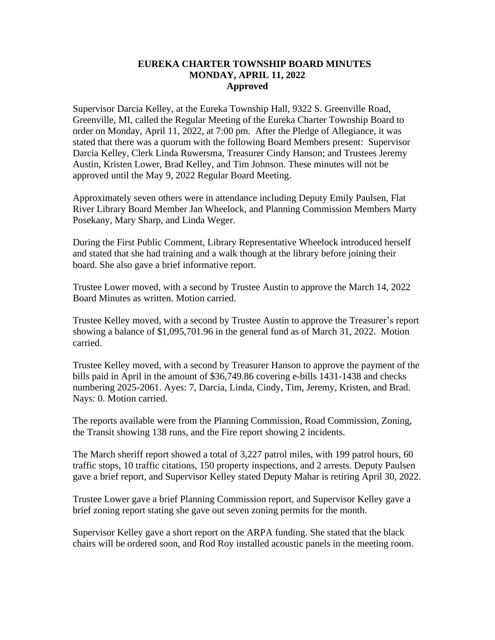## **EUREKA CHARTER TOWNSHIP BOARD MINUTES MONDAY, APRIL 11, 2022 Approved**

Supervisor Darcia Kelley, at the Eureka Township Hall, 9322 S. Greenville Road, Greenville, MI, called the Regular Meeting of the Eureka Charter Township Board to order on Monday, April 11, 2022, at 7:00 pm. After the Pledge of Allegiance, it was stated that there was a quorum with the following Board Members present: Supervisor Darcia Kelley, Clerk Linda Ruwersma, Treasurer Cindy Hanson; and Trustees Jeremy Austin, Kristen Lower, Brad Kelley, and Tim Johnson. These minutes will not be approved until the May 9, 2022 Regular Board Meeting.

Approximately seven others were in attendance including Deputy Emily Paulsen, Flat River Library Board Member Jan Wheelock, and Planning Commission Members Marty Posekany, Mary Sharp, and Linda Weger.

During the First Public Comment, Library Representative Wheelock introduced herself and stated that she had training and a walk though at the library before joining their board. She also gave a brief informative report.

Trustee Lower moved, with a second by Trustee Austin to approve the March 14, 2022 Board Minutes as written. Motion carried.

Trustee Kelley moved, with a second by Trustee Austin to approve the Treasurer's report showing a balance of \$1,095,701.96 in the general fund as of March 31, 2022. Motion carried.

Trustee Kelley moved, with a second by Treasurer Hanson to approve the payment of the bills paid in April in the amount of \$36,749.86 covering e-bills 1431-1438 and checks numbering 2025-2061. Ayes: 7, Darcia, Linda, Cindy, Tim, Jeremy, Kristen, and Brad. Nays: 0. Motion carried.

The reports available were from the Planning Commission, Road Commission, Zoning, the Transit showing 138 runs, and the Fire report showing 2 incidents.

The March sheriff report showed a total of 3,227 patrol miles, with 199 patrol hours, 60 traffic stops, 10 traffic citations, 150 property inspections, and 2 arrests. Deputy Paulsen gave a brief report, and Supervisor Kelley stated Deputy Mahar is retiring April 30, 2022.

Trustee Lower gave a brief Planning Commission report, and Supervisor Kelley gave a brief zoning report stating she gave out seven zoning permits for the month.

Supervisor Kelley gave a short report on the ARPA funding. She stated that the black chairs will be ordered soon, and Rod Roy installed acoustic panels in the meeting room.